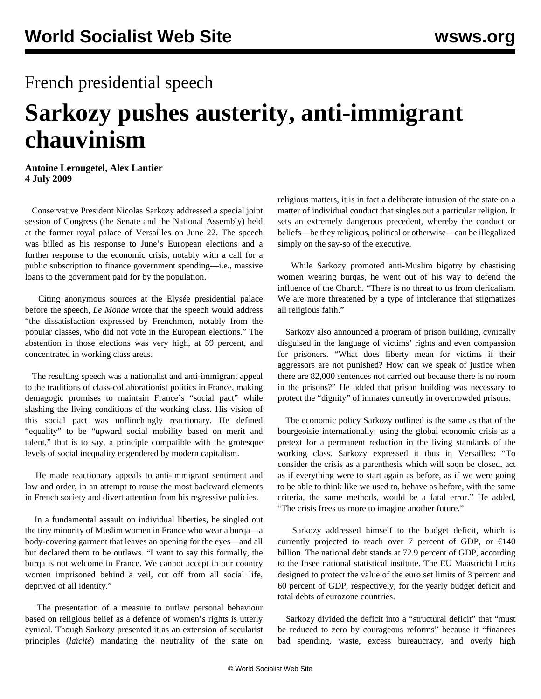## French presidential speech

## **Sarkozy pushes austerity, anti-immigrant chauvinism**

**Antoine Lerougetel, Alex Lantier 4 July 2009**

 Conservative President Nicolas Sarkozy addressed a special joint session of Congress (the Senate and the National Assembly) held at the former royal palace of Versailles on June 22. The speech was billed as his response to June's European elections and a further response to the economic crisis, notably with a call for a public subscription to finance government spending—i.e., massive loans to the government paid for by the population.

 Citing anonymous sources at the Elysée presidential palace before the speech, *Le Monde* wrote that the speech would address "the dissatisfaction expressed by Frenchmen, notably from the popular classes, who did not vote in the European elections." The abstention in those elections was very high, at 59 percent, and concentrated in working class areas.

 The resulting speech was a nationalist and anti-immigrant appeal to the traditions of class-collaborationist politics in France, making demagogic promises to maintain France's "social pact" while slashing the living conditions of the working class. His vision of this social pact was unflinchingly reactionary. He defined "equality" to be "upward social mobility based on merit and talent," that is to say, a principle compatible with the grotesque levels of social inequality engendered by modern capitalism.

 He made reactionary appeals to anti-immigrant sentiment and law and order, in an attempt to rouse the most backward elements in French society and divert attention from his regressive policies.

 In a fundamental assault on individual liberties, he singled out the tiny minority of Muslim women in France who wear a burqa—a body-covering garment that leaves an opening for the eyes—and all but declared them to be outlaws. "I want to say this formally, the burqa is not welcome in France. We cannot accept in our country women imprisoned behind a veil, cut off from all social life, deprived of all identity."

 The presentation of a measure to outlaw personal behaviour based on religious belief as a defence of women's rights is utterly cynical. Though Sarkozy presented it as an extension of secularist principles (*laïcité*) mandating the neutrality of the state on religious matters, it is in fact a deliberate intrusion of the state on a matter of individual conduct that singles out a particular religion. It sets an extremely dangerous precedent, whereby the conduct or beliefs—be they religious, political or otherwise—can be illegalized simply on the say-so of the executive.

 While Sarkozy promoted anti-Muslim bigotry by chastising women wearing burqas, he went out of his way to defend the influence of the Church. "There is no threat to us from clericalism. We are more threatened by a type of intolerance that stigmatizes all religious faith."

 Sarkozy also announced a program of prison building, cynically disguised in the language of victims' rights and even compassion for prisoners. "What does liberty mean for victims if their aggressors are not punished? How can we speak of justice when there are 82,000 sentences not carried out because there is no room in the prisons?" He added that prison building was necessary to protect the "dignity" of inmates currently in overcrowded prisons.

 The economic policy Sarkozy outlined is the same as that of the bourgeoisie internationally: using the global economic crisis as a pretext for a permanent reduction in the living standards of the working class. Sarkozy expressed it thus in Versailles: "To consider the crisis as a parenthesis which will soon be closed, act as if everything were to start again as before, as if we were going to be able to think like we used to, behave as before, with the same criteria, the same methods, would be a fatal error." He added, "The crisis frees us more to imagine another future."

 Sarkozy addressed himself to the budget deficit, which is currently projected to reach over 7 percent of GDP, or  $\epsilon$ 140 billion. The national debt stands at 72.9 percent of GDP, according to the Insee national statistical institute. The EU Maastricht limits designed to protect the value of the euro set limits of 3 percent and 60 percent of GDP, respectively, for the yearly budget deficit and total debts of eurozone countries.

 Sarkozy divided the deficit into a "structural deficit" that "must be reduced to zero by courageous reforms" because it "finances bad spending, waste, excess bureaucracy, and overly high